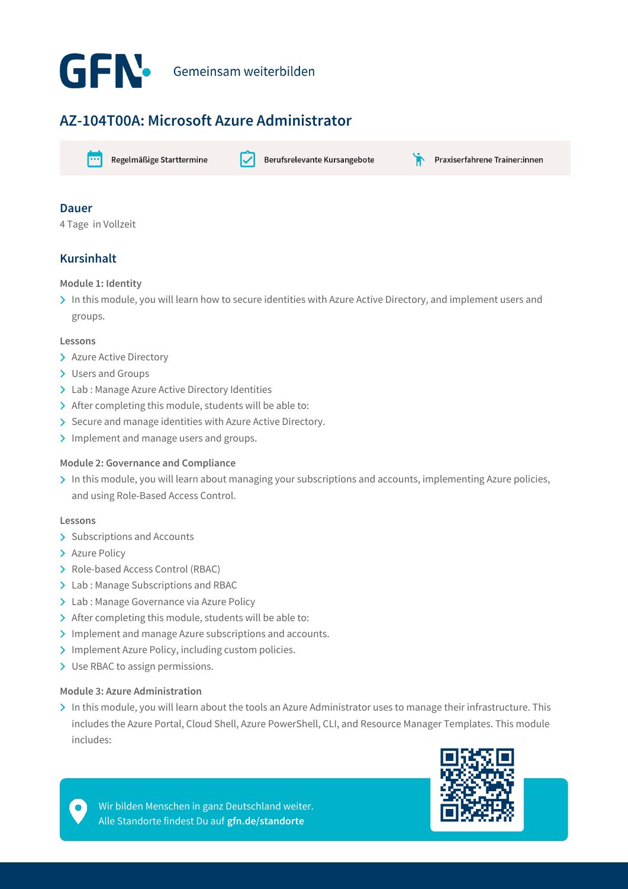

## **AZ-104T00A: Microsoft Azure Administrator**



Regelmäßige Starttermine

Berufsrelevante Kursangebote

Praxiserfahrene Trainer:innen

## **Dauer**

4 Tage in Vollzeit

## **Kursinhalt**

#### **Module 1: Identity**

> In this module, you will learn how to secure identities with Azure Active Directory, and implement users and groups.

#### **Lessons**

- > Azure Active Directory
- > Users and Groups
- > Lab : Manage Azure Active Directory Identities
- > After completing this module, students will be able to:
- $\triangleright$  Secure and manage identities with Azure Active Directory.
- Implement and manage users and groups.

#### **Module 2: Governance and Compliance**

In this module, you will learn about managing your subscriptions and accounts, implementing Azure policies, and using Role-Based Access Control.

#### **Lessons**

- > Subscriptions and Accounts
- > Azure Policy
- > Role-based Access Control (RBAC)
- > Lab : Manage Subscriptions and RBAC
- > Lab : Manage Governance via Azure Policy
- > After completing this module, students will be able to:
- Implement and manage Azure subscriptions and accounts.
- > Implement Azure Policy, including custom policies.
- > Use RBAC to assign permissions.

#### **Module 3: Azure Administration**

In this module, you will learn about the tools an Azure Administrator uses to manage their infrastructure. This includes the Azure Portal, Cloud Shell, Azure PowerShell, CLI, and Resource Manager Templates. This module includes:



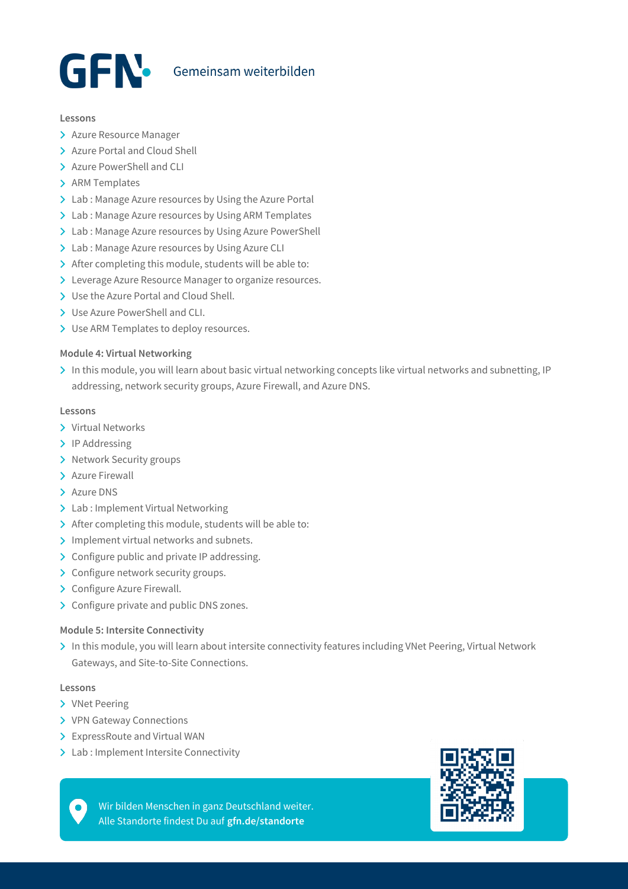

#### **Lessons**

- > Azure Resource Manager
- > Azure Portal and Cloud Shell
- > Azure PowerShell and CLI
- > ARM Templates
- > Lab : Manage Azure resources by Using the Azure Portal
- > Lab : Manage Azure resources by Using ARM Templates
- > Lab : Manage Azure resources by Using Azure PowerShell
- > Lab : Manage Azure resources by Using Azure CLI
- > After completing this module, students will be able to:
- > Leverage Azure Resource Manager to organize resources.
- > Use the Azure Portal and Cloud Shell.
- Use Azure PowerShell and CLI.
- > Use ARM Templates to deploy resources.

#### **Module 4: Virtual Networking**

> In this module, you will learn about basic virtual networking concepts like virtual networks and subnetting, IP addressing, network security groups, Azure Firewall, and Azure DNS.

#### **Lessons**

- Virtual Networks
- > IP Addressing
- > Network Security groups
- > Azure Firewall
- > Azure DNS
- > Lab : Implement Virtual Networking
- > After completing this module, students will be able to:
- > Implement virtual networks and subnets.
- > Configure public and private IP addressing.
- > Configure network security groups.
- > Configure Azure Firewall.
- > Configure private and public DNS zones.

#### **Module 5: Intersite Connectivity**

> In this module, you will learn about intersite connectivity features including VNet Peering, Virtual Network Gateways, and Site-to-Site Connections.

#### **Lessons**

- > VNet Peering
- > VPN Gateway Connections
- > ExpressRoute and Virtual WAN
- > Lab : Implement Intersite Connectivity

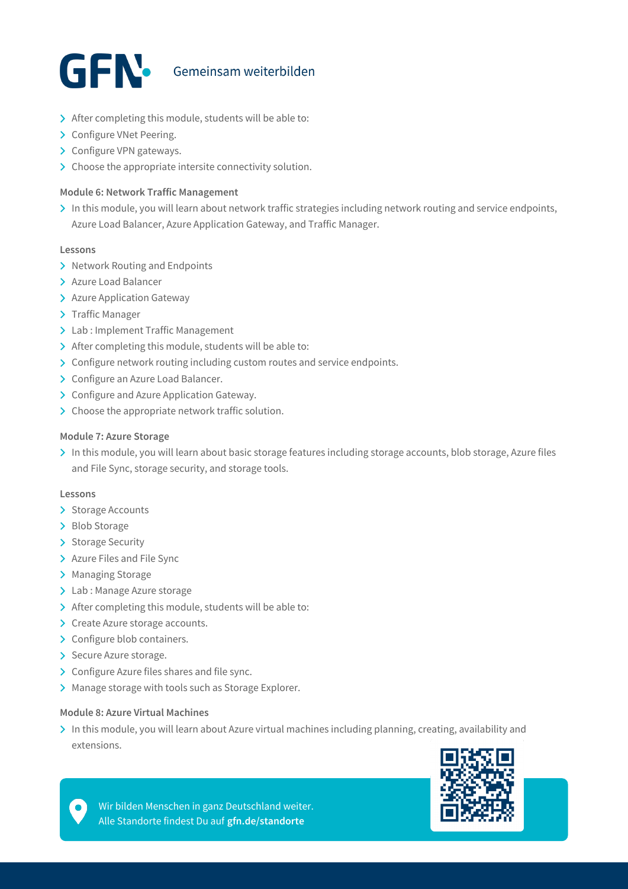

- > After completing this module, students will be able to:
- > Configure VNet Peering.
- > Configure VPN gateways.
- $\sum$  Choose the appropriate intersite connectivity solution.

#### **Module 6: Network Traffic Management**

> In this module, you will learn about network traffic strategies including network routing and service endpoints, Azure Load Balancer, Azure Application Gateway, and Traffic Manager.

#### **Lessons**

- > Network Routing and Endpoints
- > Azure Load Balancer
- > Azure Application Gateway
- > Traffic Manager
- > Lab : Implement Traffic Management
- > After completing this module, students will be able to:
- > Configure network routing including custom routes and service endpoints.
- > Configure an Azure Load Balancer.
- > Configure and Azure Application Gateway.
- > Choose the appropriate network traffic solution.

#### **Module 7: Azure Storage**

> In this module, you will learn about basic storage features including storage accounts, blob storage, Azure files and File Sync, storage security, and storage tools.

#### **Lessons**

- > Storage Accounts
- > Blob Storage
- > Storage Security
- > Azure Files and File Sync
- > Managing Storage
- > Lab : Manage Azure storage
- > After completing this module, students will be able to:
- > Create Azure storage accounts.
- > Configure blob containers.
- > Secure Azure storage.
- > Configure Azure files shares and file sync.
- > Manage storage with tools such as Storage Explorer.

#### **Module 8: Azure Virtual Machines**

In this module, you will learn about Azure virtual machines including planning, creating, availability and extensions.



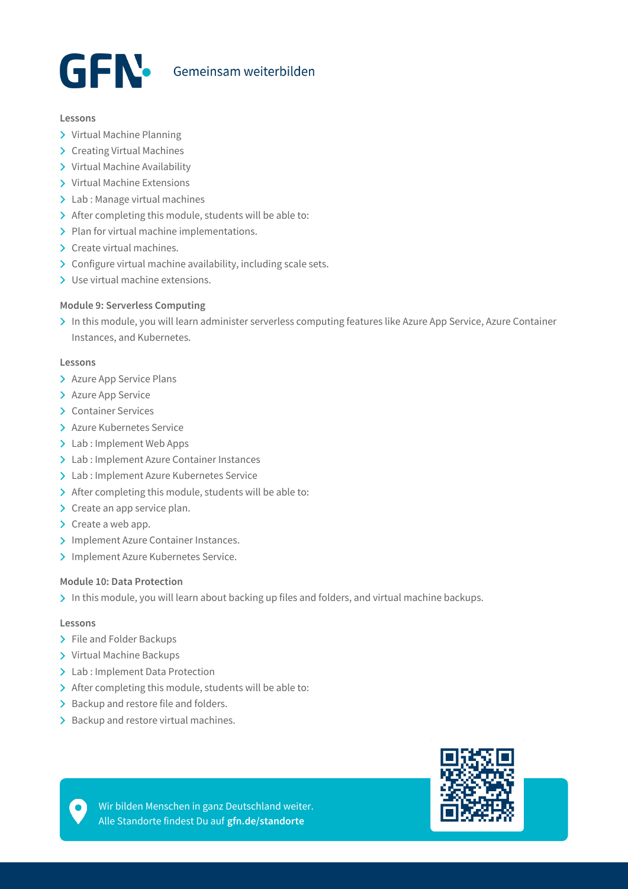

#### **Lessons**

- > Virtual Machine Planning
- > Creating Virtual Machines
- > Virtual Machine Availability
- > Virtual Machine Extensions
- > Lab : Manage virtual machines
- > After completing this module, students will be able to:
- > Plan for virtual machine implementations.
- > Create virtual machines.
- $\triangleright$  Configure virtual machine availability, including scale sets.
- > Use virtual machine extensions.

#### **Module 9: Serverless Computing**

In this module, you will learn administer serverless computing features like Azure App Service, Azure Container Instances, and Kubernetes.

#### **Lessons**

- > Azure App Service Plans
- > Azure App Service
- > Container Services
- Azure Kubernetes Service
- > Lab : Implement Web Apps
- Lab : Implement Azure Container Instances
- Lab : Implement Azure Kubernetes Service
- > After completing this module, students will be able to:
- $\sum$  Create an app service plan.
- $\triangleright$  Create a web app.
- > Implement Azure Container Instances.
- > Implement Azure Kubernetes Service.

#### **Module 10: Data Protection**

In this module, you will learn about backing up files and folders, and virtual machine backups.

#### **Lessons**

- > File and Folder Backups
- Virtual Machine Backups
- > Lab : Implement Data Protection
- $\triangleright$  After completing this module, students will be able to:
- > Backup and restore file and folders.
- > Backup and restore virtual machines.

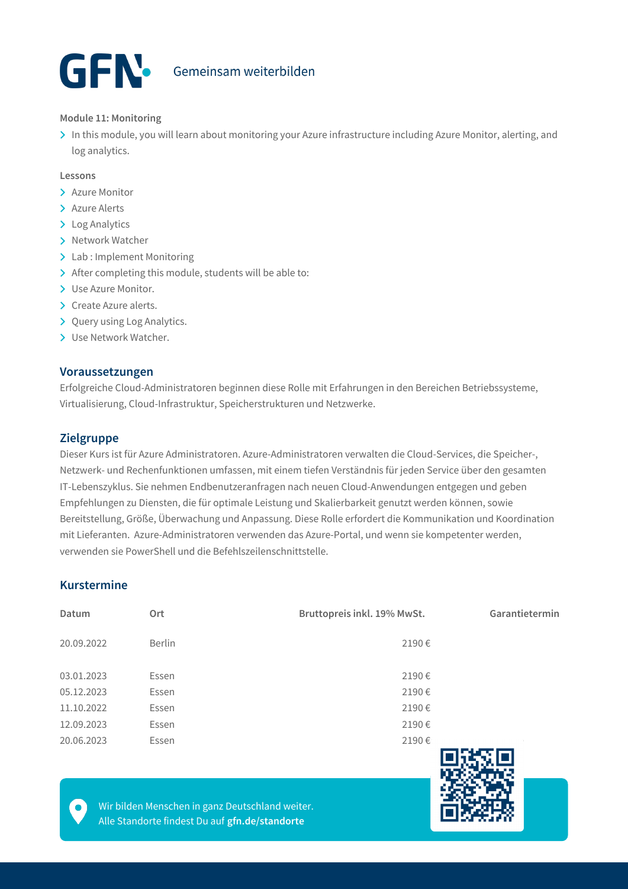# GEN Gemeinsam weiterbilden

#### **Module 11: Monitoring**

In this module, you will learn about monitoring your Azure infrastructure including Azure Monitor, alerting, and log analytics.

#### **Lessons**

- > Azure Monitor
- > Azure Alerts
- > Log Analytics
- > Network Watcher
- > Lab : Implement Monitoring
- > After completing this module, students will be able to:
- > Use Azure Monitor.
- > Create Azure alerts.
- > Query using Log Analytics.
- > Use Network Watcher.

#### **Voraussetzungen**

Erfolgreiche Cloud-Administratoren beginnen diese Rolle mit Erfahrungen in den Bereichen Betriebssysteme, Virtualisierung, Cloud-Infrastruktur, Speicherstrukturen und Netzwerke.

#### **Zielgruppe**

Dieser Kurs ist für Azure Administratoren. Azure-Administratoren verwalten die Cloud-Services, die Speicher-, Netzwerk- und Rechenfunktionen umfassen, mit einem tiefen Verständnis für jeden Service über den gesamten IT-Lebenszyklus. Sie nehmen Endbenutzeranfragen nach neuen Cloud-Anwendungen entgegen und geben Empfehlungen zu Diensten, die für optimale Leistung und Skalierbarkeit genutzt werden können, sowie Bereitstellung, Größe, Überwachung und Anpassung. Diese Rolle erfordert die Kommunikation und Koordination mit Lieferanten. Azure-Administratoren verwenden das Azure-Portal, und wenn sie kompetenter werden, verwenden sie PowerShell und die Befehlszeilenschnittstelle.

## **Kurstermine**

| Datum      | Ort           | Bruttopreis inkl. 19% MwSt. | Garantietermin |
|------------|---------------|-----------------------------|----------------|
| 20.09.2022 | <b>Berlin</b> | 2190€                       |                |
| 03.01.2023 | Essen         | 2190€                       |                |
| 05.12.2023 | Essen         | 2190€                       |                |
| 11.10.2022 | Essen         | 2190€                       |                |
| 12.09.2023 | Essen         | 2190€                       |                |
| 20.06.2023 | Essen         | 2190€                       | en ser sien    |

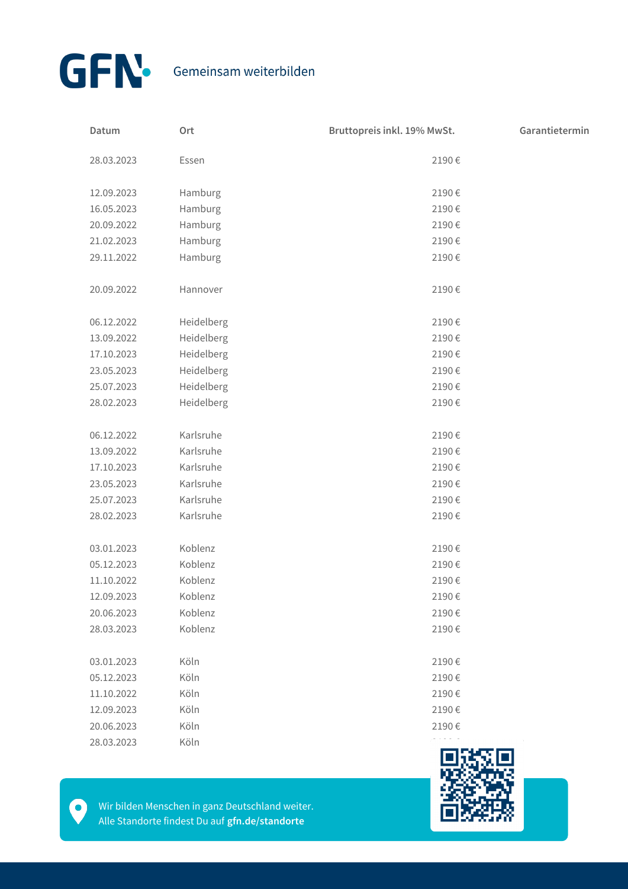

| Datum      | Ort        | Bruttopreis inkl. 19% MwSt. | Garantietermin |
|------------|------------|-----------------------------|----------------|
| 28.03.2023 | Essen      | 2190€                       |                |
| 12.09.2023 | Hamburg    | 2190€                       |                |
| 16.05.2023 | Hamburg    | 2190€                       |                |
| 20.09.2022 | Hamburg    | 2190€                       |                |
| 21.02.2023 | Hamburg    | 2190€                       |                |
| 29.11.2022 | Hamburg    | 2190€                       |                |
| 20.09.2022 | Hannover   | 2190€                       |                |
| 06.12.2022 | Heidelberg | 2190€                       |                |
| 13.09.2022 | Heidelberg | 2190€                       |                |
| 17.10.2023 | Heidelberg | 2190€                       |                |
| 23.05.2023 | Heidelberg | 2190€                       |                |
| 25.07.2023 | Heidelberg | 2190€                       |                |
| 28.02.2023 | Heidelberg | 2190€                       |                |
| 06.12.2022 | Karlsruhe  | 2190€                       |                |
| 13.09.2022 | Karlsruhe  | 2190€                       |                |
| 17.10.2023 | Karlsruhe  | 2190€                       |                |
| 23.05.2023 | Karlsruhe  | 2190€                       |                |
| 25.07.2023 | Karlsruhe  | 2190€                       |                |
| 28.02.2023 | Karlsruhe  | 2190€                       |                |
| 03.01.2023 | Koblenz    | 2190€                       |                |
| 05.12.2023 | Koblenz    | 2190€                       |                |
| 11.10.2022 | Koblenz    | 2190€                       |                |
| 12.09.2023 | Koblenz    | 2190€                       |                |
| 20.06.2023 | Koblenz    | 2190€                       |                |
| 28.03.2023 | Koblenz    | 2190€                       |                |
| 03.01.2023 | Köln       | 2190€                       |                |
| 05.12.2023 | Köln       | 2190€                       |                |
| 11.10.2022 | Köln       | 2190€                       |                |
| 12.09.2023 | Köln       | 2190€                       |                |
| 20.06.2023 | Köln       | 2190€                       |                |
| 28.03.2023 | Köln       |                             |                |



 $\bullet$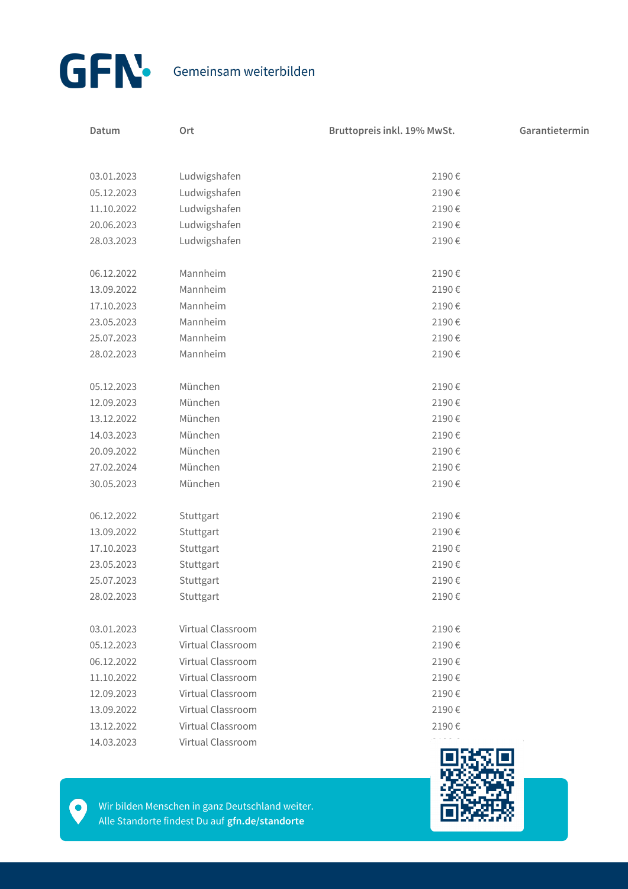

| Datum      | Ort               | Bruttopreis inkl. 19% MwSt. | Garantietermin |
|------------|-------------------|-----------------------------|----------------|
|            |                   |                             |                |
| 03.01.2023 | Ludwigshafen      | 2190€                       |                |
| 05.12.2023 | Ludwigshafen      | 2190€                       |                |
| 11.10.2022 | Ludwigshafen      | 2190€                       |                |
| 20.06.2023 | Ludwigshafen      | 2190€                       |                |
| 28.03.2023 | Ludwigshafen      | 2190€                       |                |
| 06.12.2022 | Mannheim          | 2190€                       |                |
| 13.09.2022 | Mannheim          | 2190€                       |                |
| 17.10.2023 | Mannheim          | 2190€                       |                |
| 23.05.2023 | Mannheim          | 2190€                       |                |
| 25.07.2023 | Mannheim          | 2190€                       |                |
| 28.02.2023 | Mannheim          | 2190€                       |                |
| 05.12.2023 | München           | 2190€                       |                |
| 12.09.2023 | München           | 2190€                       |                |
| 13.12.2022 | München           | 2190€                       |                |
| 14.03.2023 | München           | 2190€                       |                |
| 20.09.2022 | München           | 2190€                       |                |
| 27.02.2024 | München           | 2190€                       |                |
| 30.05.2023 | München           | 2190€                       |                |
| 06.12.2022 | Stuttgart         | 2190€                       |                |
| 13.09.2022 | Stuttgart         | 2190€                       |                |
| 17.10.2023 | Stuttgart         | 2190€                       |                |
| 23.05.2023 | Stuttgart         | 2190€                       |                |
| 25.07.2023 | Stuttgart         | 2190€                       |                |
| 28.02.2023 | Stuttgart         | 2190€                       |                |
| 03.01.2023 | Virtual Classroom | 2190€                       |                |
| 05.12.2023 | Virtual Classroom | 2190€                       |                |
| 06.12.2022 | Virtual Classroom | 2190€                       |                |
| 11.10.2022 | Virtual Classroom | 2190€                       |                |
| 12.09.2023 | Virtual Classroom | 2190€                       |                |
| 13.09.2022 | Virtual Classroom | 2190€                       |                |
| 13.12.2022 | Virtual Classroom | 2190€                       |                |
| 14.03.2023 | Virtual Classroom |                             |                |
|            |                   |                             |                |



Wir bilden Menschen in ganz Deutschland weiter. Alle Standorte findest Du auf **gfn.de/standorte**

 $\bullet$